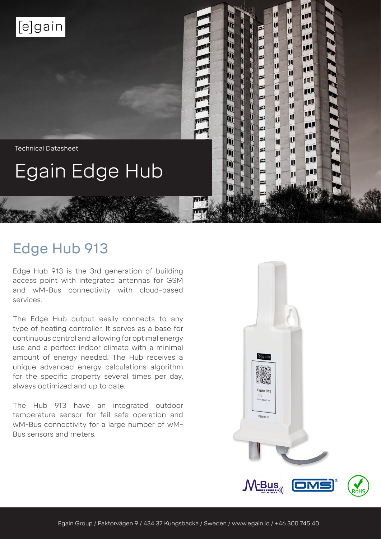

Technical Datasheet

# Egain Edge Hub

# Edge Hub 913

Edge Hub 913 is the 3rd generation of building access point with integrated antennas for GSM and wM-Bus connectivity with cloud-based services.

The Edge Hub output easily connects to any type of heating controller. It serves as a base for continuous control and allowing for optimal energy use and a perfect indoor climate with a minimal amount of energy needed. The Hub receives a unique advanced energy calculations algorithm for the specific property several times per day, always optimized and up to date.

The Hub 913 have an integrated outdoor temperature sensor for fail safe operation and wM-Bus connectivity for a large number of wM-Bus sensors and meters.



佂

迎

11

11.

TIL

亚

叩

TU

仙

W

吅

皿

111

111

111

面

 $\mathbf{d}$ 

íÍ

币

íĺ

而

Ĩ

íÍ

īI

ī

īĪ

囗

П

ĪĪ

11

π

íÍ

íÍ

īI

íÍ

í

íÍ

íÏ

īĪ

īĪ

ĩÍ

ĩÍ

 $\mathbf{H}$ 

П

 $\overline{\mathbf{u}}$ 

π

Z

Z

Z.

E

E

E

E

E

E

E

E

E

Ĭ

 $\mathbb{R}$ 

 $\mathbb{F}$ 

T

 $\overline{\mathbb{I}}$ E

Ì

 $\mathbf{r}$ 

ì

 $H$ 

 $\| \mathcal{Z} \| \mathcal{Z} \| = \| \mathcal{Z} \| \mathcal{Z} \| \mathcal{Z} \|$  is the set of  $\| \mathcal{Z} \|$  is  $\| \mathcal{Z} \|$ 

ì